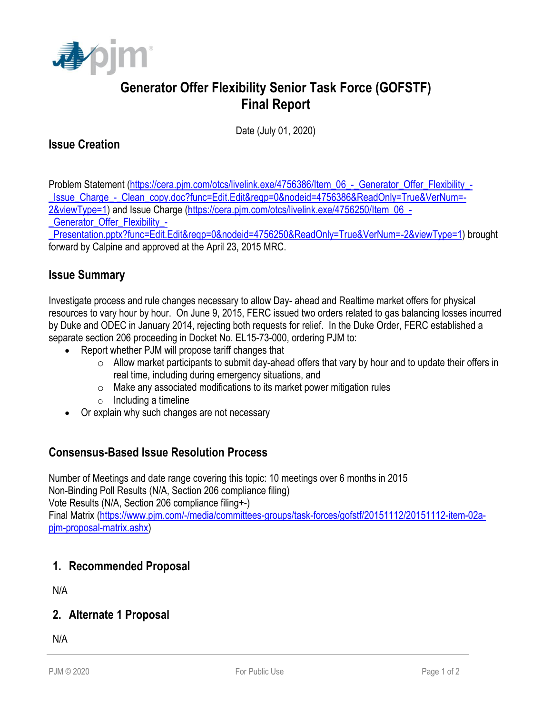

# **Generator Offer Flexibility Senior Task Force (GOFSTF) Final Report**

Date (July 01, 2020)

# **Issue Creation**

Problem Statement [\(https://cera.pjm.com/otcs/livelink.exe/4756386/Item\\_06\\_-\\_Generator\\_Offer\\_Flexibility\\_-](https://cera.pjm.com/otcs/livelink.exe/4756386/Item_06_-_Generator_Offer_Flexibility_-_Issue_Charge_-_Clean_copy.doc?func=Edit.Edit&reqp=0&nodeid=4756386&ReadOnly=True&VerNum=-2&viewType=1) [\\_Issue\\_Charge\\_-\\_Clean\\_copy.doc?func=Edit.Edit&reqp=0&nodeid=4756386&ReadOnly=True&VerNum=-](https://cera.pjm.com/otcs/livelink.exe/4756386/Item_06_-_Generator_Offer_Flexibility_-_Issue_Charge_-_Clean_copy.doc?func=Edit.Edit&reqp=0&nodeid=4756386&ReadOnly=True&VerNum=-2&viewType=1) [2&viewType=1\)](https://cera.pjm.com/otcs/livelink.exe/4756386/Item_06_-_Generator_Offer_Flexibility_-_Issue_Charge_-_Clean_copy.doc?func=Edit.Edit&reqp=0&nodeid=4756386&ReadOnly=True&VerNum=-2&viewType=1) and Issue Charge [\(https://cera.pjm.com/otcs/livelink.exe/4756250/Item\\_06\\_-](https://cera.pjm.com/otcs/livelink.exe/4756250/Item_06_-_Generator_Offer_Flexibility_-_Presentation.pptx?func=Edit.Edit&reqp=0&nodeid=4756250&ReadOnly=True&VerNum=-2&viewType=1)

Generator Offer Flexibility -

[\\_Presentation.pptx?func=Edit.Edit&reqp=0&nodeid=4756250&ReadOnly=True&VerNum=-2&viewType=1\)](https://cera.pjm.com/otcs/livelink.exe/4756250/Item_06_-_Generator_Offer_Flexibility_-_Presentation.pptx?func=Edit.Edit&reqp=0&nodeid=4756250&ReadOnly=True&VerNum=-2&viewType=1) brought forward by Calpine and approved at the April 23, 2015 MRC.

# **Issue Summary**

Investigate process and rule changes necessary to allow Day- ahead and Realtime market offers for physical resources to vary hour by hour. On June 9, 2015, FERC issued two orders related to gas balancing losses incurred by Duke and ODEC in January 2014, rejecting both requests for relief. In the Duke Order, FERC established a separate section 206 proceeding in Docket No. EL15-73-000, ordering PJM to:

- Report whether PJM will propose tariff changes that
	- $\circ$  Allow market participants to submit day-ahead offers that vary by hour and to update their offers in real time, including during emergency situations, and
	- o Make any associated modifications to its market power mitigation rules
	- $\circ$  Including a timeline
- Or explain why such changes are not necessary

# **Consensus-Based Issue Resolution Process**

Number of Meetings and date range covering this topic: 10 meetings over 6 months in 2015 Non-Binding Poll Results (N/A, Section 206 compliance filing) Vote Results (N/A, Section 206 compliance filing+-) Final Matrix [\(https://www.pjm.com/-/media/committees-groups/task-forces/gofstf/20151112/20151112-item-02a](https://www.pjm.com/-/media/committees-groups/task-forces/gofstf/20151112/20151112-item-02a-pjm-proposal-matrix.ashx)[pjm-proposal-matrix.ashx\)](https://www.pjm.com/-/media/committees-groups/task-forces/gofstf/20151112/20151112-item-02a-pjm-proposal-matrix.ashx)

# **1. Recommended Proposal**

N/A

#### **2. Alternate 1 Proposal**

N/A